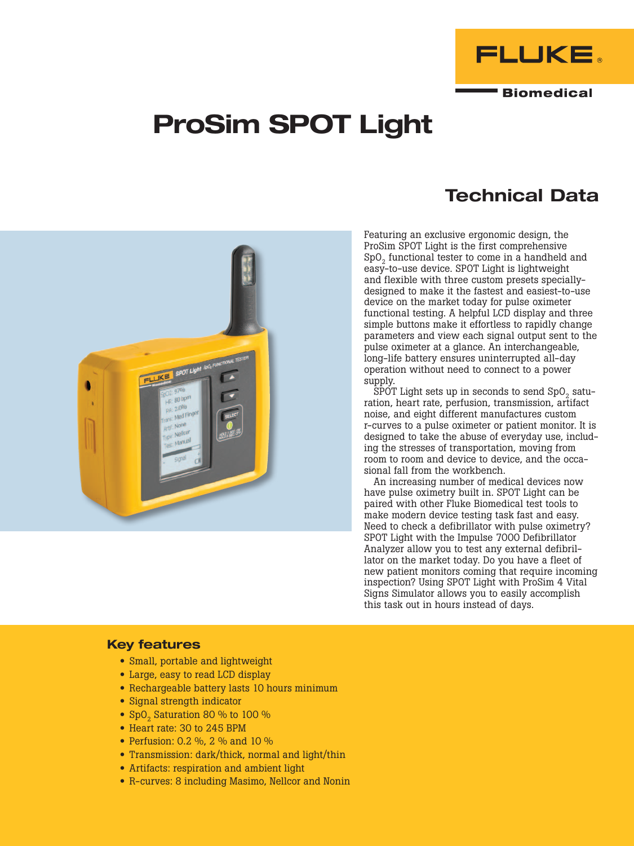

**Biomedical** 

# ProSim SPOT Light



# Technical Data

Featuring an exclusive ergonomic design, the ProSim SPOT Light is the first comprehensive  $SpO<sub>2</sub>$  functional tester to come in a handheld and easy-to-use device. SPOT Light is lightweight and flexible with three custom presets speciallydesigned to make it the fastest and easiest-to-use device on the market today for pulse oximeter functional testing. A helpful LCD display and three simple buttons make it effortless to rapidly change parameters and view each signal output sent to the pulse oximeter at a glance. An interchangeable, long-life battery ensures uninterrupted all-day operation without need to connect to a power supply.

SPOT Light sets up in seconds to send  $SpO<sub>2</sub>$  saturation, heart rate, perfusion, transmission, artifact noise, and eight different manufactures custom r-curves to a pulse oximeter or patient monitor. It is designed to take the abuse of everyday use, including the stresses of transportation, moving from room to room and device to device, and the occasional fall from the workbench.

An increasing number of medical devices now have pulse oximetry built in. SPOT Light can be paired with other Fluke Biomedical test tools to make modern device testing task fast and easy. Need to check a defibrillator with pulse oximetry? SPOT Light with the Impulse 7000 Defibrillator Analyzer allow you to test any external defibrillator on the market today. Do you have a fleet of new patient monitors coming that require incoming inspection? Using SPOT Light with ProSim 4 Vital Signs Simulator allows you to easily accomplish this task out in hours instead of days.

### Key features

- Small, portable and lightweight
- Large, easy to read LCD display
- Rechargeable battery lasts 10 hours minimum
- Signal strength indicator
- SpO<sub>2</sub> Saturation 80 % to 100 %
- Heart rate: 30 to 245 BPM
- Perfusion: 0.2 %, 2 % and 10 %
- Transmission: dark/thick, normal and light/thin
- Artifacts: respiration and ambient light
- R-curves: 8 including Masimo, Nellcor and Nonin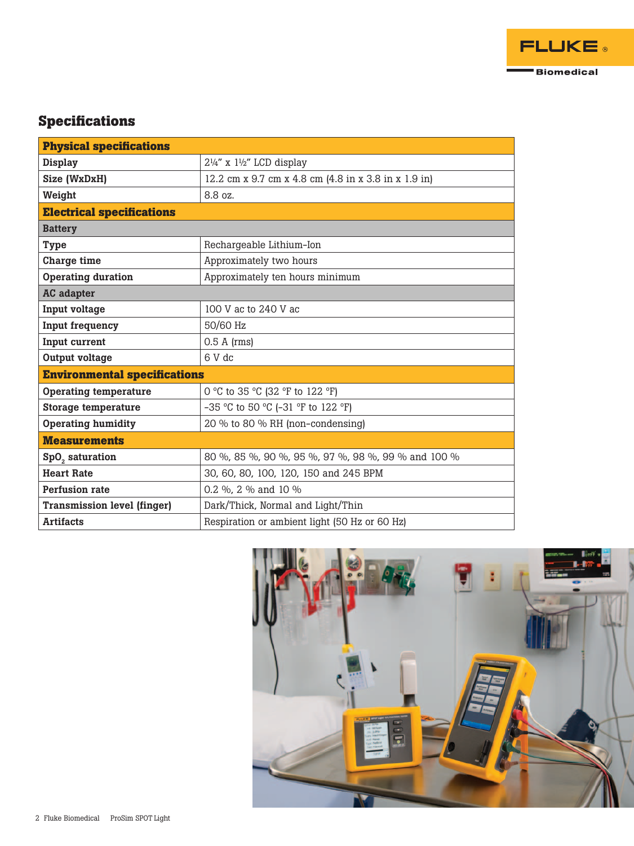

## **Specifications**

| <b>Physical specifications</b>      |                                                      |
|-------------------------------------|------------------------------------------------------|
| <b>Display</b>                      | $2\frac{1}{4}$ " x $1\frac{1}{2}$ " LCD display      |
| Size (WxDxH)                        | 12.2 cm x 9.7 cm x 4.8 cm (4.8 in x 3.8 in x 1.9 in) |
| Weight                              | 8.8 oz.                                              |
| <b>Electrical specifications</b>    |                                                      |
| <b>Battery</b>                      |                                                      |
| <b>Type</b>                         | Rechargeable Lithium-Ion                             |
| Charge time                         | Approximately two hours                              |
| <b>Operating duration</b>           | Approximately ten hours minimum                      |
| <b>AC</b> adapter                   |                                                      |
| Input voltage                       | 100 V ac to 240 V ac                                 |
| Input frequency                     | 50/60 Hz                                             |
| Input current                       | $0.5$ A (rms)                                        |
| Output voltage                      | $6V$ dc                                              |
| <b>Environmental specifications</b> |                                                      |
| <b>Operating temperature</b>        | 0 °C to 35 °C (32 °F to 122 °F)                      |
| <b>Storage temperature</b>          | -35 °C to 50 °C (-31 °F to 122 °F)                   |
| <b>Operating humidity</b>           | 20 % to 80 % RH (non-condensing)                     |
| <b>Measurements</b>                 |                                                      |
| SpO <sub>2</sub> saturation         | 80 %, 85 %, 90 %, 95 %, 97 %, 98 %, 99 % and 100 %   |
| <b>Heart Rate</b>                   | 30, 60, 80, 100, 120, 150 and 245 BPM                |
| Perfusion rate                      | 0.2 %, 2 % and 10 %                                  |
| <b>Transmission level (finger)</b>  | Dark/Thick, Normal and Light/Thin                    |
| <b>Artifacts</b>                    | Respiration or ambient light (50 Hz or 60 Hz)        |

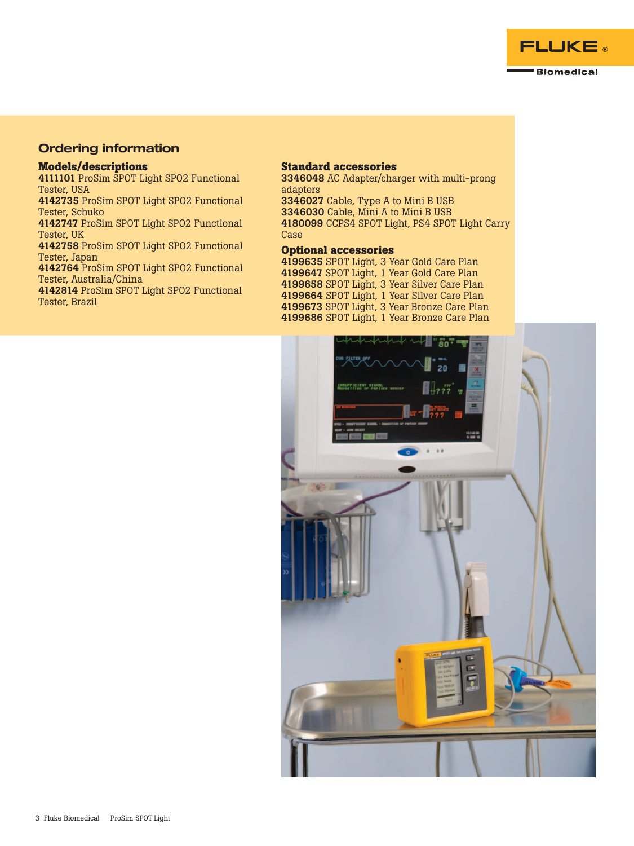

### Ordering information

#### **Models/descriptions**

4111101 ProSim SPOT Light SPO2 Functional Tester, USA

4142735 ProSim SPOT Light SPO2 Functional Tester, Schuko

4142747 ProSim SPOT Light SPO2 Functional Tester, UK

4142758 ProSim SPOT Light SPO2 Functional Tester, Japan

4142764 ProSim SPOT Light SPO2 Functional Tester, Australia/China

4142814 ProSim SPOT Light SPO2 Functional Tester, Brazil

#### **Standard accessories**

 AC Adapter/charger with multi-prong adapters Cable, Type A to Mini B USB Cable, Mini A to Mini B USB CCPS4 SPOT Light, PS4 SPOT Light Carry Case

#### **Optional accessories**

 SPOT Light, 3 Year Gold Care Plan SPOT Light, 1 Year Gold Care Plan SPOT Light, 3 Year Silver Care Plan SPOT Light, 1 Year Silver Care Plan SPOT Light, 3 Year Bronze Care Plan SPOT Light, 1 Year Bronze Care Plan